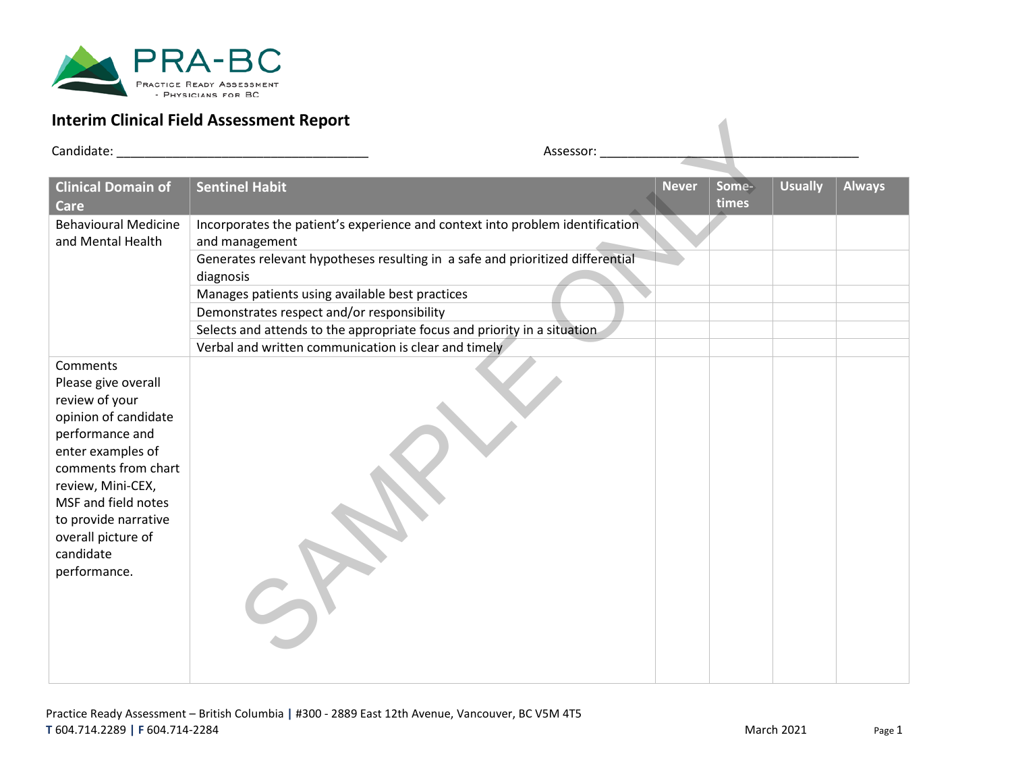

|                                                                                                                                                                                                                                                                 | interim Clinical Field Assessment Report                                                                                |              |                |                |               |
|-----------------------------------------------------------------------------------------------------------------------------------------------------------------------------------------------------------------------------------------------------------------|-------------------------------------------------------------------------------------------------------------------------|--------------|----------------|----------------|---------------|
| Candidate:                                                                                                                                                                                                                                                      | Assessor:                                                                                                               |              |                |                |               |
| <b>Clinical Domain of</b><br><b>Care</b>                                                                                                                                                                                                                        | <b>Sentinel Habit</b>                                                                                                   | <b>Never</b> | Some-<br>times | <b>Usually</b> | <b>Always</b> |
| <b>Behavioural Medicine</b><br>and Mental Health                                                                                                                                                                                                                | Incorporates the patient's experience and context into problem identification.<br>and management                        |              |                |                |               |
|                                                                                                                                                                                                                                                                 | Generates relevant hypotheses resulting in a safe and prioritized differential<br>diagnosis                             |              |                |                |               |
|                                                                                                                                                                                                                                                                 | Manages patients using available best practices                                                                         |              |                |                |               |
|                                                                                                                                                                                                                                                                 | Demonstrates respect and/or responsibility<br>Selects and attends to the appropriate focus and priority in a situation. |              |                |                |               |
|                                                                                                                                                                                                                                                                 | Verbal and written communication is clear and timely                                                                    |              |                |                |               |
| Comments<br>Please give overall<br>review of your<br>opinion of candidate<br>performance and<br>enter examples of<br>comments from chart<br>review, Mini-CEX,<br>MSF and field notes<br>to provide narrative<br>overall picture of<br>candidate<br>performance. |                                                                                                                         |              |                |                |               |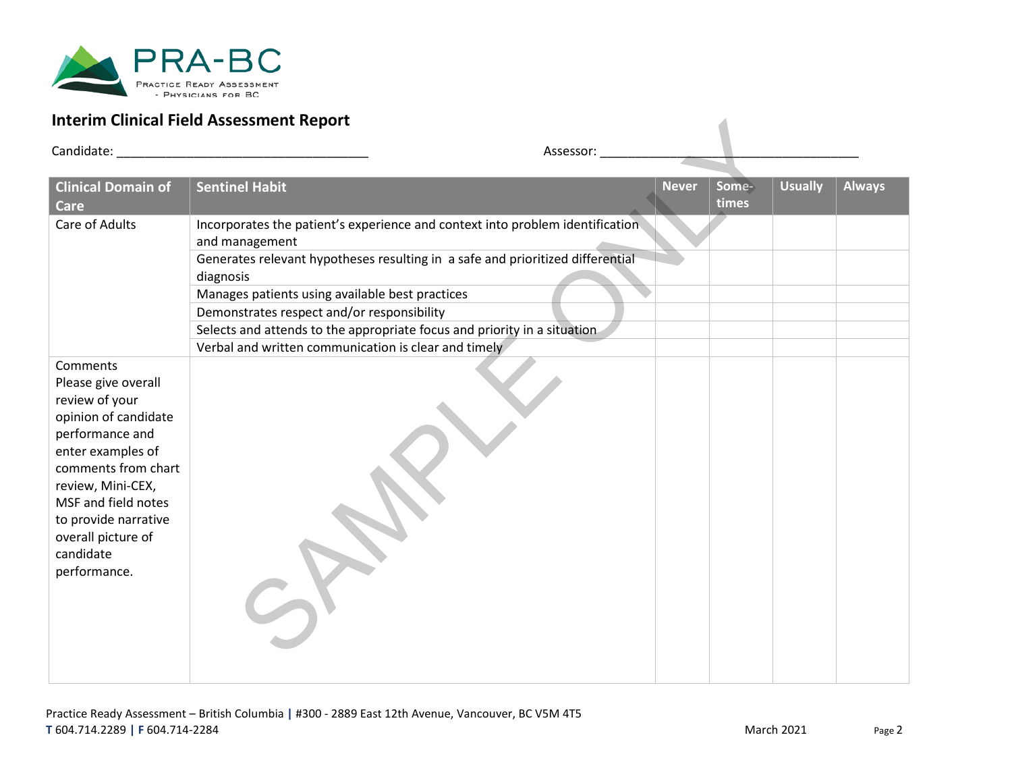

|                                                                                                                                                                                                                                                                 | interim Clinical Field Assessment Report                                                                                                                                                                                                          |              |                |                |               |
|-----------------------------------------------------------------------------------------------------------------------------------------------------------------------------------------------------------------------------------------------------------------|---------------------------------------------------------------------------------------------------------------------------------------------------------------------------------------------------------------------------------------------------|--------------|----------------|----------------|---------------|
| Candidate:                                                                                                                                                                                                                                                      | Assessor:                                                                                                                                                                                                                                         |              |                |                |               |
| <b>Clinical Domain of</b><br><b>Care</b>                                                                                                                                                                                                                        | <b>Sentinel Habit</b>                                                                                                                                                                                                                             | <b>Never</b> | Some-<br>times | <b>Usually</b> | <b>Always</b> |
| Care of Adults                                                                                                                                                                                                                                                  | Incorporates the patient's experience and context into problem identification<br>and management<br>Generates relevant hypotheses resulting in a safe and prioritized differential<br>diagnosis<br>Manages patients using available best practices |              |                |                |               |
|                                                                                                                                                                                                                                                                 | Demonstrates respect and/or responsibility<br>Selects and attends to the appropriate focus and priority in a situation.<br>Verbal and written communication is clear and timely                                                                   |              |                |                |               |
| Comments<br>Please give overall<br>review of your<br>opinion of candidate<br>performance and<br>enter examples of<br>comments from chart<br>review, Mini-CEX,<br>MSF and field notes<br>to provide narrative<br>overall picture of<br>candidate<br>performance. |                                                                                                                                                                                                                                                   |              |                |                |               |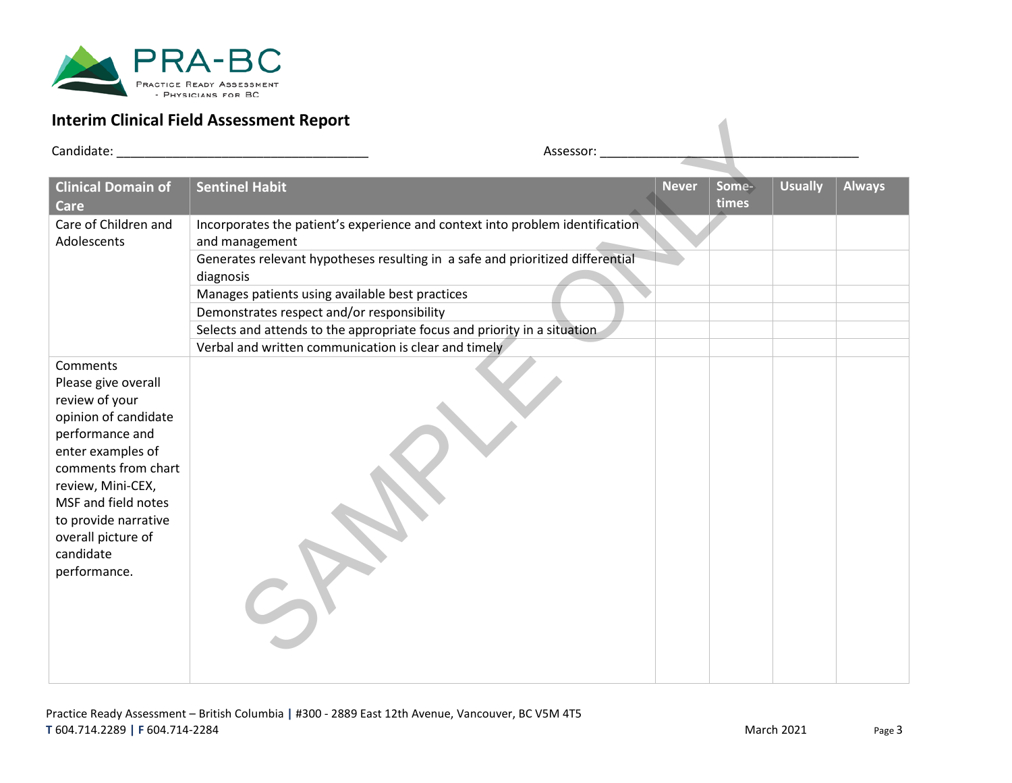

|                                                                                                                                                                                                                                                                 | interim Clinical Field Assessment Report                                                                                                                                                                                                                                                                                                                                     |              |                |                |               |
|-----------------------------------------------------------------------------------------------------------------------------------------------------------------------------------------------------------------------------------------------------------------|------------------------------------------------------------------------------------------------------------------------------------------------------------------------------------------------------------------------------------------------------------------------------------------------------------------------------------------------------------------------------|--------------|----------------|----------------|---------------|
| Candidate:                                                                                                                                                                                                                                                      | Assessor:                                                                                                                                                                                                                                                                                                                                                                    |              |                |                |               |
| <b>Clinical Domain of</b><br><b>Care</b>                                                                                                                                                                                                                        | <b>Sentinel Habit</b>                                                                                                                                                                                                                                                                                                                                                        | <b>Never</b> | Some-<br>times | <b>Usually</b> | <b>Always</b> |
| Care of Children and<br>Adolescents                                                                                                                                                                                                                             | Incorporates the patient's experience and context into problem identification<br>and management<br>Generates relevant hypotheses resulting in a safe and prioritized differential<br>diagnosis<br>Manages patients using available best practices<br>Demonstrates respect and/or responsibility<br>Selects and attends to the appropriate focus and priority in a situation. |              |                |                |               |
| Comments<br>Please give overall<br>review of your<br>opinion of candidate<br>performance and<br>enter examples of<br>comments from chart<br>review, Mini-CEX,<br>MSF and field notes<br>to provide narrative<br>overall picture of<br>candidate<br>performance. | Verbal and written communication is clear and timely                                                                                                                                                                                                                                                                                                                         |              |                |                |               |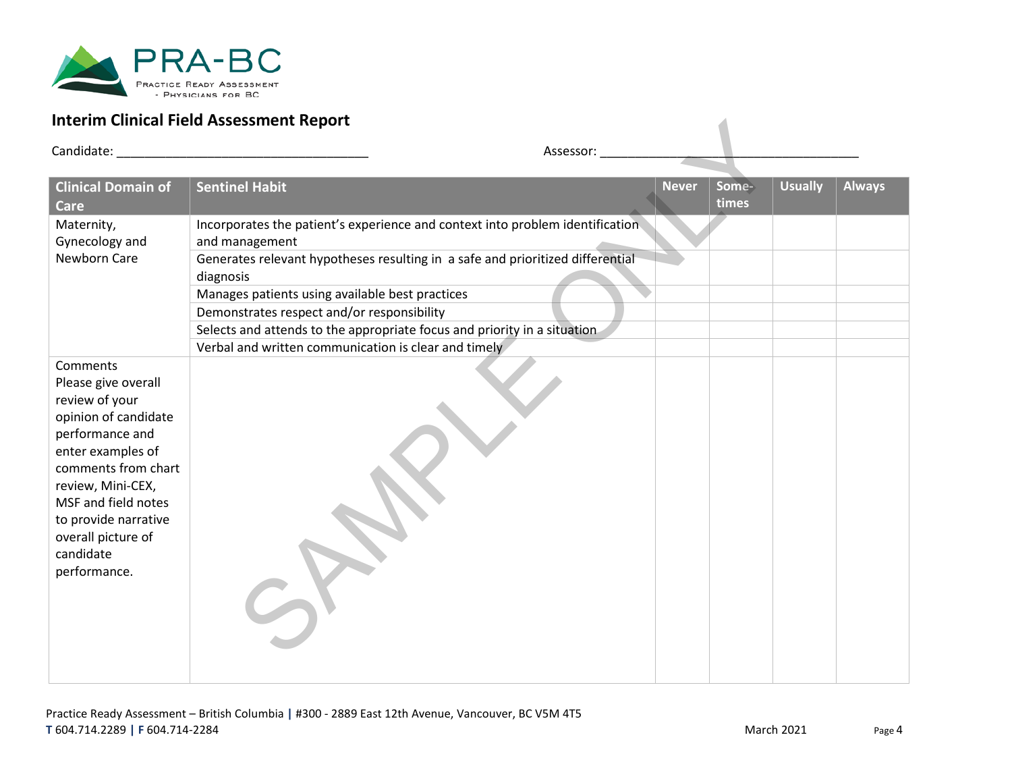

| Candidate:                                                                                                                                                                                                                                                      | Assessor:                                                                                                                                                                                                                                          |              |                |                |               |
|-----------------------------------------------------------------------------------------------------------------------------------------------------------------------------------------------------------------------------------------------------------------|----------------------------------------------------------------------------------------------------------------------------------------------------------------------------------------------------------------------------------------------------|--------------|----------------|----------------|---------------|
| <b>Clinical Domain of</b><br><b>Care</b>                                                                                                                                                                                                                        | <b>Sentinel Habit</b>                                                                                                                                                                                                                              | <b>Never</b> | Some-<br>times | <b>Usually</b> | <b>Always</b> |
| Maternity,<br>Gynecology and<br>Newborn Care                                                                                                                                                                                                                    | Incorporates the patient's experience and context into problem identification.<br>and management<br>Generates relevant hypotheses resulting in a safe and prioritized differential<br>diagnosis<br>Manages patients using available best practices |              |                |                |               |
|                                                                                                                                                                                                                                                                 | Demonstrates respect and/or responsibility<br>Selects and attends to the appropriate focus and priority in a situation.<br>Verbal and written communication is clear and timely                                                                    |              |                |                |               |
| Comments<br>Please give overall<br>review of your<br>opinion of candidate<br>performance and<br>enter examples of<br>comments from chart<br>review, Mini-CEX,<br>MSF and field notes<br>to provide narrative<br>overall picture of<br>candidate<br>performance. |                                                                                                                                                                                                                                                    |              |                |                |               |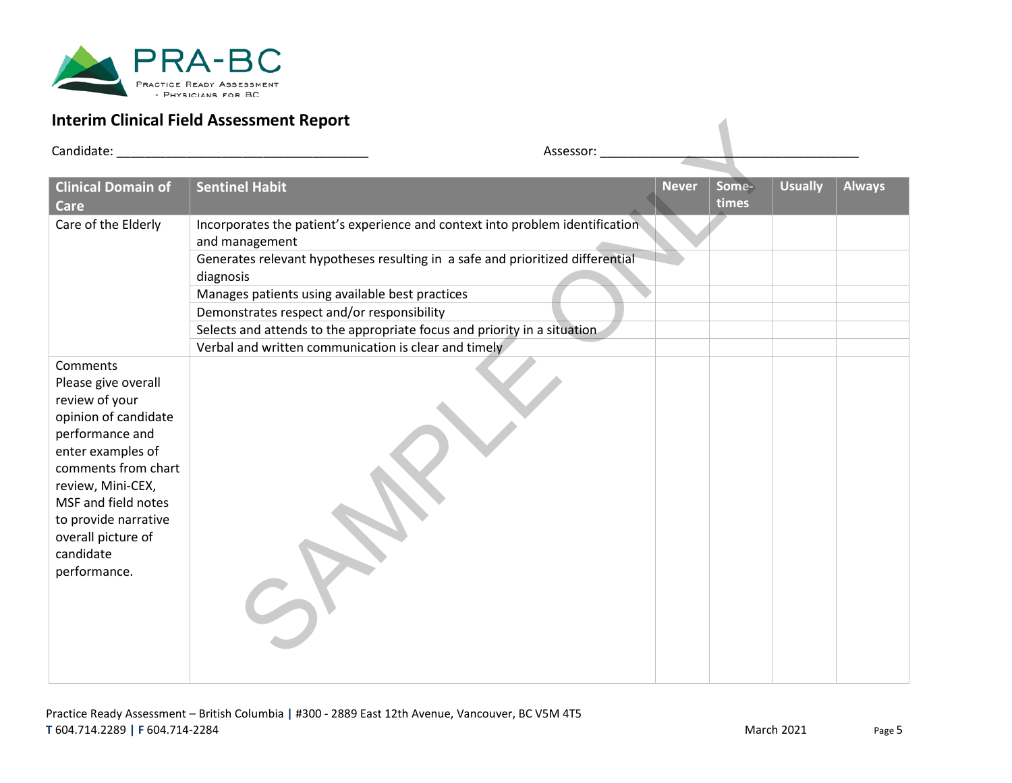

|                                                                                                                                                                                                                                                                 | interim Clinical Field Assessment Report                                                                                                                                                                                                                                                                                                                                     |              |                |                |               |
|-----------------------------------------------------------------------------------------------------------------------------------------------------------------------------------------------------------------------------------------------------------------|------------------------------------------------------------------------------------------------------------------------------------------------------------------------------------------------------------------------------------------------------------------------------------------------------------------------------------------------------------------------------|--------------|----------------|----------------|---------------|
| Candidate:                                                                                                                                                                                                                                                      | Assessor:                                                                                                                                                                                                                                                                                                                                                                    |              |                |                |               |
| <b>Clinical Domain of</b><br><b>Care</b>                                                                                                                                                                                                                        | <b>Sentinel Habit</b>                                                                                                                                                                                                                                                                                                                                                        | <b>Never</b> | Some-<br>times | <b>Usually</b> | <b>Always</b> |
| Care of the Elderly                                                                                                                                                                                                                                             | Incorporates the patient's experience and context into problem identification<br>and management<br>Generates relevant hypotheses resulting in a safe and prioritized differential<br>diagnosis<br>Manages patients using available best practices<br>Demonstrates respect and/or responsibility<br>Selects and attends to the appropriate focus and priority in a situation. |              |                |                |               |
| Comments<br>Please give overall<br>review of your<br>opinion of candidate<br>performance and<br>enter examples of<br>comments from chart<br>review, Mini-CEX,<br>MSF and field notes<br>to provide narrative<br>overall picture of<br>candidate<br>performance. | Verbal and written communication is clear and timely                                                                                                                                                                                                                                                                                                                         |              |                |                |               |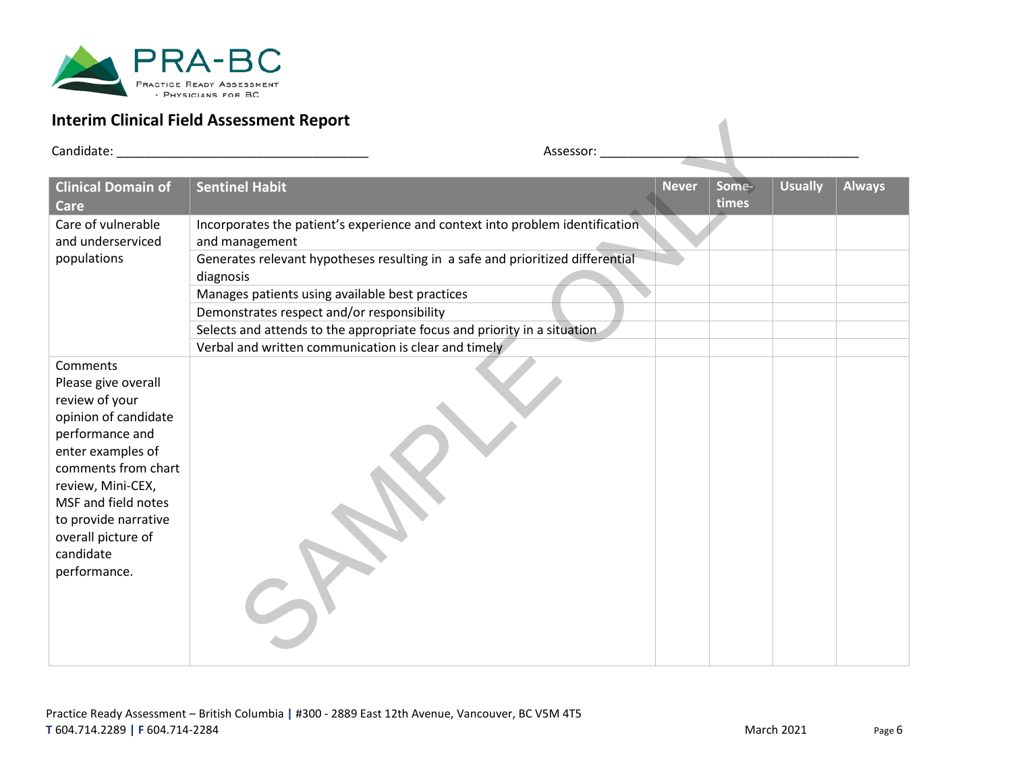

|                                                                                                                                                                                                                                                                 | interim Clinical Field Assessment Report                                                                                                                                                                                                                                                        |              |                |                |               |
|-----------------------------------------------------------------------------------------------------------------------------------------------------------------------------------------------------------------------------------------------------------------|-------------------------------------------------------------------------------------------------------------------------------------------------------------------------------------------------------------------------------------------------------------------------------------------------|--------------|----------------|----------------|---------------|
|                                                                                                                                                                                                                                                                 | Candidate: New York State State State State State State State State State State State State State St<br>Assessor:                                                                                                                                                                               |              |                |                |               |
| <b>Clinical Domain of</b><br><b>Care</b>                                                                                                                                                                                                                        | <b>Sentinel Habit</b>                                                                                                                                                                                                                                                                           | <b>Never</b> | Some-<br>times | <b>Usually</b> | <b>Always</b> |
| Care of vulnerable<br>and underserviced<br>populations                                                                                                                                                                                                          | Incorporates the patient's experience and context into problem identification<br>and management<br>Generates relevant hypotheses resulting in a safe and prioritized differential<br>diagnosis<br>Manages patients using available best practices<br>Demonstrates respect and/or responsibility |              |                |                |               |
|                                                                                                                                                                                                                                                                 | Selects and attends to the appropriate focus and priority in a situation.<br>Verbal and written communication is clear and timely                                                                                                                                                               |              |                |                |               |
| Comments<br>Please give overall<br>review of your<br>opinion of candidate<br>performance and<br>enter examples of<br>comments from chart<br>review, Mini-CEX,<br>MSF and field notes<br>to provide narrative<br>overall picture of<br>candidate<br>performance. |                                                                                                                                                                                                                                                                                                 |              |                |                |               |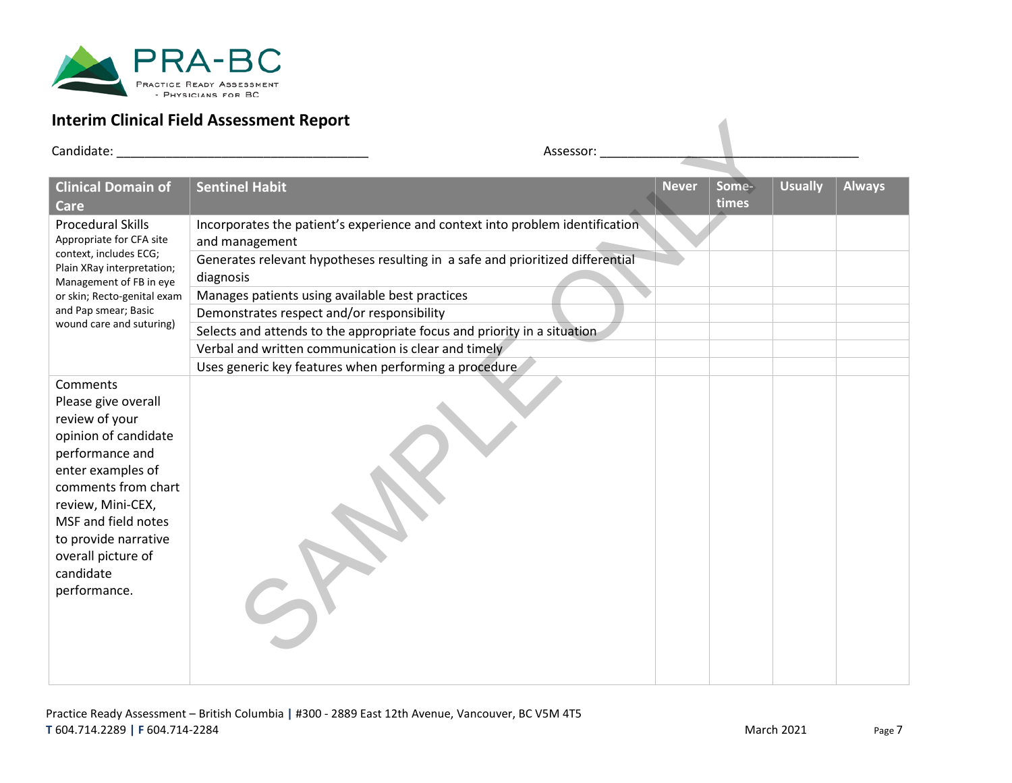

| Candidate:<br>Assessor:<br><b>Sentinel Habit</b><br><b>Usually</b><br><b>Clinical Domain of</b><br><b>Always</b><br><b>Never</b><br>Some-<br>times<br>Care<br>Incorporates the patient's experience and context into problem identification.<br><b>Procedural Skills</b><br>Appropriate for CFA site<br>and management<br>context, includes ECG;<br>Generates relevant hypotheses resulting in a safe and prioritized differential<br>Plain XRay interpretation;<br>diagnosis<br>Management of FB in eye<br>Manages patients using available best practices<br>or skin; Recto-genital exam<br>and Pap smear; Basic<br>Demonstrates respect and/or responsibility<br>wound care and suturing)<br>Selects and attends to the appropriate focus and priority in a situation<br>Verbal and written communication is clear and timely<br>Uses generic key features when performing a procedure<br>Comments<br>Please give overall<br>review of your<br>opinion of candidate<br>performance and<br>enter examples of<br>comments from chart<br>review, Mini-CEX,<br>MSF and field notes | interim Clinical Field Assessment Report |  |  |
|-----------------------------------------------------------------------------------------------------------------------------------------------------------------------------------------------------------------------------------------------------------------------------------------------------------------------------------------------------------------------------------------------------------------------------------------------------------------------------------------------------------------------------------------------------------------------------------------------------------------------------------------------------------------------------------------------------------------------------------------------------------------------------------------------------------------------------------------------------------------------------------------------------------------------------------------------------------------------------------------------------------------------------------------------------------------------------------|------------------------------------------|--|--|
|                                                                                                                                                                                                                                                                                                                                                                                                                                                                                                                                                                                                                                                                                                                                                                                                                                                                                                                                                                                                                                                                                   |                                          |  |  |
|                                                                                                                                                                                                                                                                                                                                                                                                                                                                                                                                                                                                                                                                                                                                                                                                                                                                                                                                                                                                                                                                                   |                                          |  |  |
| to provide narrative<br>overall picture of<br>candidate<br>performance.                                                                                                                                                                                                                                                                                                                                                                                                                                                                                                                                                                                                                                                                                                                                                                                                                                                                                                                                                                                                           |                                          |  |  |
|                                                                                                                                                                                                                                                                                                                                                                                                                                                                                                                                                                                                                                                                                                                                                                                                                                                                                                                                                                                                                                                                                   |                                          |  |  |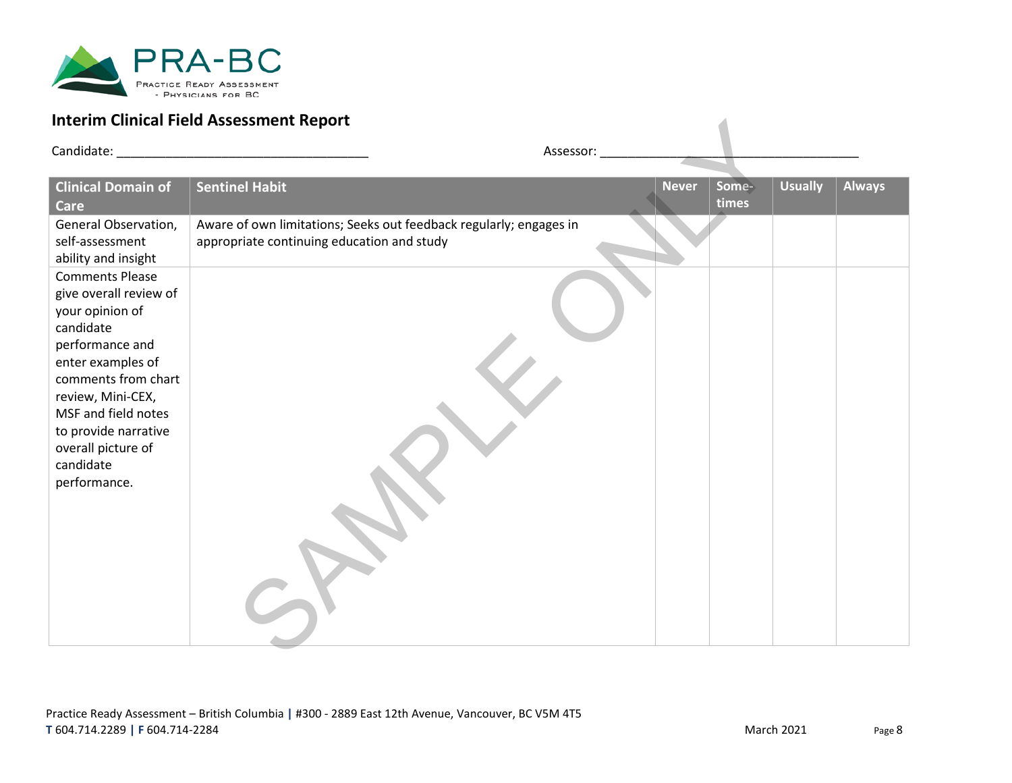

|                                                                                                                                                                                                                                                                        | Interim Clinical Field Assessment Report                                                                         |              |                |                |               |
|------------------------------------------------------------------------------------------------------------------------------------------------------------------------------------------------------------------------------------------------------------------------|------------------------------------------------------------------------------------------------------------------|--------------|----------------|----------------|---------------|
|                                                                                                                                                                                                                                                                        |                                                                                                                  | Assessor:    |                |                |               |
| <b>Clinical Domain of</b><br><b>Care</b>                                                                                                                                                                                                                               | Sentinel Habit                                                                                                   | <b>Never</b> | Some-<br>times | <b>Usually</b> | <b>Always</b> |
| General Observation,<br>self-assessment<br>ability and insight                                                                                                                                                                                                         | Aware of own limitations; Seeks out feedback regularly; engages in<br>appropriate continuing education and study |              |                |                |               |
| <b>Comments Please</b><br>give overall review of<br>your opinion of<br>candidate<br>performance and<br>enter examples of<br>comments from chart<br>review, Mini-CEX,<br>MSF and field notes<br>to provide narrative<br>overall picture of<br>candidate<br>performance. |                                                                                                                  |              |                |                |               |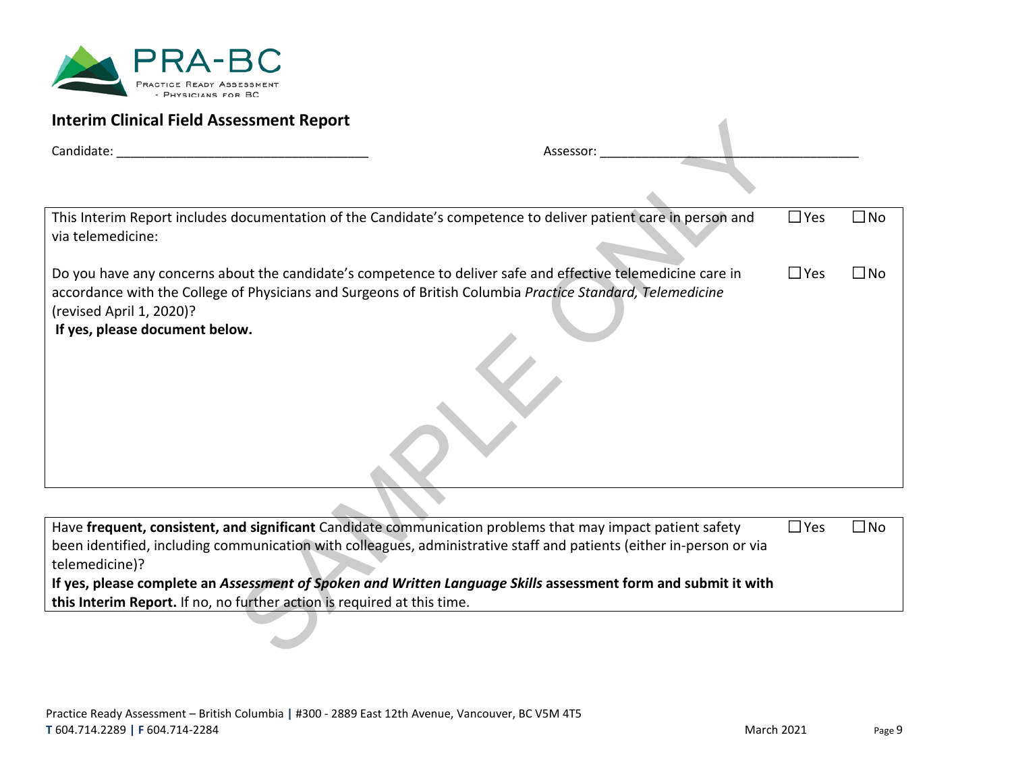

| <u>Interim Clinical Field Assessment Report</u>                                                                                                                                                                                                                                                                                                                                                                                                   |               |              |  |  |
|---------------------------------------------------------------------------------------------------------------------------------------------------------------------------------------------------------------------------------------------------------------------------------------------------------------------------------------------------------------------------------------------------------------------------------------------------|---------------|--------------|--|--|
| Candidate: The Candidate Candidate Candidate Candidate Candidate Candidate Candidate Candidate Candidate Candidate Candidate Candidate Candidate Candidate Candidate Candidate Candidate Candidate Candidate Candidate Candida<br>Assessor:                                                                                                                                                                                                       |               |              |  |  |
|                                                                                                                                                                                                                                                                                                                                                                                                                                                   |               |              |  |  |
| This Interim Report includes documentation of the Candidate's competence to deliver patient care in person and<br>via telemedicine:                                                                                                                                                                                                                                                                                                               | $\square$ Yes | $\square$ No |  |  |
| Do you have any concerns about the candidate's competence to deliver safe and effective telemedicine care in<br>$\square$ Yes<br>$\square$ No<br>accordance with the College of Physicians and Surgeons of British Columbia Practice Standard, Telemedicine<br>(revised April 1, 2020)?<br>If yes, please document below.                                                                                                                         |               |              |  |  |
| Have frequent, consistent, and significant Candidate communication problems that may impact patient safety<br>been identified, including communication with colleagues, administrative staff and patients (either in-person or via<br>telemedicine)?<br>If yes, please complete an Assessment of Spoken and Written Language Skills assessment form and submit it with<br>this Interim Report. If no, no further action is required at this time. | $\square$ Yes | $\square$ No |  |  |
|                                                                                                                                                                                                                                                                                                                                                                                                                                                   |               |              |  |  |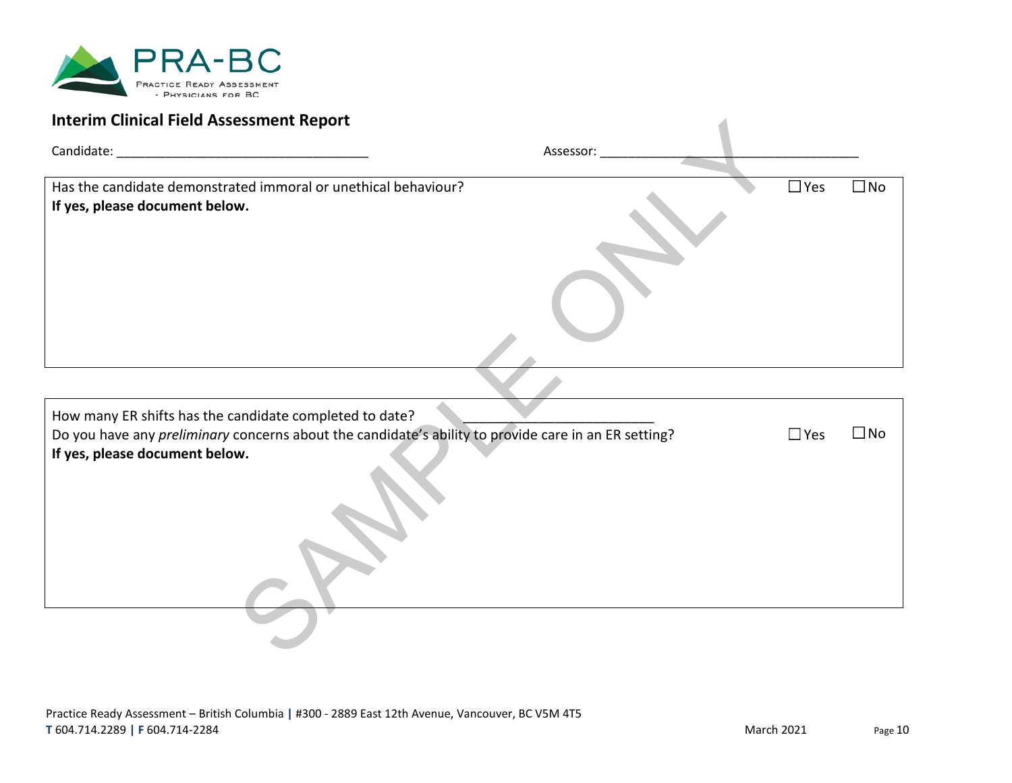

| interim Clinical Field Assessment Report                                                                                                                                                          |           |               |              |
|---------------------------------------------------------------------------------------------------------------------------------------------------------------------------------------------------|-----------|---------------|--------------|
|                                                                                                                                                                                                   | Assessor: |               |              |
| Has the candidate demonstrated immoral or unethical behaviour?<br>If yes, please document below.                                                                                                  |           | $\square$ Yes | $\square$ No |
|                                                                                                                                                                                                   |           |               |              |
| How many ER shifts has the candidate completed to date?<br>Do you have any preliminary concerns about the candidate's ability to provide care in an ER setting?<br>If yes, please document below. |           | $\square$ Yes | $\square$ No |
|                                                                                                                                                                                                   |           |               |              |